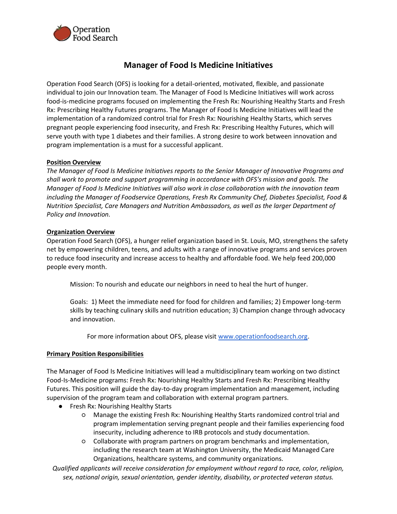

# **Manager of Food Is Medicine Initiatives**

Operation Food Search (OFS) is looking for a detail-oriented, motivated, flexible, and passionate individual to join our Innovation team. The Manager of Food Is Medicine Initiatives will work across food-is-medicine programs focused on implementing the Fresh Rx: Nourishing Healthy Starts and Fresh Rx: Prescribing Healthy Futures programs. The Manager of Food Is Medicine Initiatives will lead the implementation of a randomized control trial for Fresh Rx: Nourishing Healthy Starts, which serves pregnant people experiencing food insecurity, and Fresh Rx: Prescribing Healthy Futures, which will serve youth with type 1 diabetes and their families. A strong desire to work between innovation and program implementation is a must for a successful applicant.

# **Position Overview**

*The Manager of Food Is Medicine Initiatives reports to the Senior Manager of Innovative Programs and shall work to promote and support programming in accordance with OFS's mission and goals. The Manager of Food Is Medicine Initiatives will also work in close collaboration with the innovation team including the Manager of Foodservice Operations, Fresh Rx Community Chef, Diabetes Specialist, Food & Nutrition Specialist, Care Managers and Nutrition Ambassadors, as well as the larger Department of Policy and Innovation.*

### **Organization Overview**

Operation Food Search (OFS), a hunger relief organization based in St. Louis, MO, strengthens the safety net by empowering children, teens, and adults with a range of innovative programs and services proven to reduce food insecurity and increase access to healthy and affordable food. We help feed 200,000 people every month.

Mission: To nourish and educate our neighbors in need to heal the hurt of hunger.

Goals: 1) Meet the immediate need for food for children and families; 2) Empower long-term skills by teaching culinary skills and nutrition education; 3) Champion change through advocacy and innovation.

For more information about OFS, please visit [www.operationfoodsearch.org.](http://www.operationfoodsearch.org/)

#### **Primary Position Responsibilities**

The Manager of Food Is Medicine Initiatives will lead a multidisciplinary team working on two distinct Food-Is-Medicine programs: Fresh Rx: Nourishing Healthy Starts and Fresh Rx: Prescribing Healthy Futures. This position will guide the day-to-day program implementation and management, including supervision of the program team and collaboration with external program partners.

- Fresh Rx: Nourishing Healthy Starts
	- Manage the existing Fresh Rx: Nourishing Healthy Starts randomized control trial and program implementation serving pregnant people and their families experiencing food insecurity, including adherence to IRB protocols and study documentation.
	- Collaborate with program partners on program benchmarks and implementation, including the research team at Washington University, the Medicaid Managed Care Organizations, healthcare systems, and community organizations.

*Qualified applicants will receive consideration for employment without regard to race, color, religion, sex, national origin, sexual orientation, gender identity, disability, or protected veteran status.*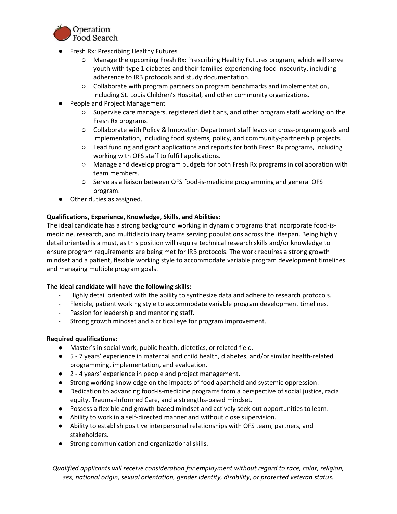

- Fresh Rx: Prescribing Healthy Futures
	- Manage the upcoming Fresh Rx: Prescribing Healthy Futures program, which will serve youth with type 1 diabetes and their families experiencing food insecurity, including adherence to IRB protocols and study documentation.
	- Collaborate with program partners on program benchmarks and implementation, including St. Louis Children's Hospital, and other community organizations.
- People and Project Management
	- Supervise care managers, registered dietitians, and other program staff working on the Fresh Rx programs.
	- Collaborate with Policy & Innovation Department staff leads on cross-program goals and implementation, including food systems, policy, and community-partnership projects.
	- Lead funding and grant applications and reports for both Fresh Rx programs, including working with OFS staff to fulfill applications.
	- Manage and develop program budgets for both Fresh Rx programs in collaboration with team members.
	- Serve as a liaison between OFS food-is-medicine programming and general OFS program.
- Other duties as assigned.

# **Qualifications, Experience, Knowledge, Skills, and Abilities:**

The ideal candidate has a strong background working in dynamic programs that incorporate food-ismedicine, research, and multidisciplinary teams serving populations across the lifespan. Being highly detail oriented is a must, as this position will require technical research skills and/or knowledge to ensure program requirements are being met for IRB protocols. The work requires a strong growth mindset and a patient, flexible working style to accommodate variable program development timelines and managing multiple program goals.

# **The ideal candidate will have the following skills:**

- Highly detail oriented with the ability to synthesize data and adhere to research protocols.
- Flexible, patient working style to accommodate variable program development timelines.
- Passion for leadership and mentoring staff.
- Strong growth mindset and a critical eye for program improvement.

# **Required qualifications:**

- Master's in social work, public health, dietetics, or related field.
- 5 7 years' experience in maternal and child health, diabetes, and/or similar health-related programming, implementation, and evaluation.
- 2 4 years' experience in people and project management.
- Strong working knowledge on the impacts of food apartheid and systemic oppression.
- Dedication to advancing food-is-medicine programs from a perspective of social justice, racial equity, Trauma-Informed Care, and a strengths-based mindset.
- Possess a flexible and growth-based mindset and actively seek out opportunities to learn.
- Ability to work in a self-directed manner and without close supervision.
- Ability to establish positive interpersonal relationships with OFS team, partners, and stakeholders.
- Strong communication and organizational skills.

*Qualified applicants will receive consideration for employment without regard to race, color, religion, sex, national origin, sexual orientation, gender identity, disability, or protected veteran status.*